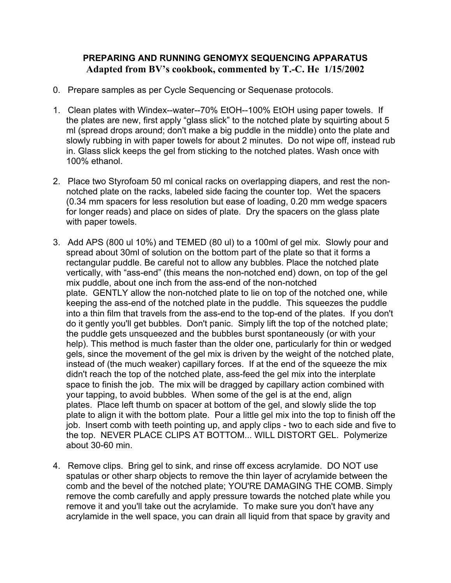## **PREPARING AND RUNNING GENOMYX SEQUENCING APPARATUS Adapted from BV's cookbook, commented by T.-C. He 1/15/2002**

- 0. Prepare samples as per Cycle Sequencing or Sequenase protocols.
- 1. Clean plates with Windex--water--70% EtOH--100% EtOH using paper towels. If the plates are new, first apply "glass slick" to the notched plate by squirting about 5 ml (spread drops around; don't make a big puddle in the middle) onto the plate and slowly rubbing in with paper towels for about 2 minutes. Do not wipe off, instead rub in. Glass slick keeps the gel from sticking to the notched plates. Wash once with 100% ethanol.
- 2. Place two Styrofoam 50 ml conical racks on overlapping diapers, and rest the nonnotched plate on the racks, labeled side facing the counter top. Wet the spacers (0.34 mm spacers for less resolution but ease of loading, 0.20 mm wedge spacers for longer reads) and place on sides of plate. Dry the spacers on the glass plate with paper towels.
- 3. Add APS (800 ul 10%) and TEMED (80 ul) to a 100ml of gel mix. Slowly pour and spread about 30ml of solution on the bottom part of the plate so that it forms a rectangular puddle. Be careful not to allow any bubbles. Place the notched plate vertically, with "ass-end" (this means the non-notched end) down, on top of the gel mix puddle, about one inch from the ass-end of the non-notched plate. GENTLY allow the non-notched plate to lie on top of the notched one, while keeping the ass-end of the notched plate in the puddle. This squeezes the puddle into a thin film that travels from the ass-end to the top-end of the plates. If you don't do it gently you'll get bubbles. Don't panic. Simply lift the top of the notched plate; the puddle gets unsqueezed and the bubbles burst spontaneously (or with your help). This method is much faster than the older one, particularly for thin or wedged gels, since the movement of the gel mix is driven by the weight of the notched plate, instead of (the much weaker) capillary forces. If at the end of the squeeze the mix didn't reach the top of the notched plate, ass-feed the gel mix into the interplate space to finish the job. The mix will be dragged by capillary action combined with your tapping, to avoid bubbles. When some of the gel is at the end, align plates. Place left thumb on spacer at bottom of the gel, and slowly slide the top plate to align it with the bottom plate. Pour a little gel mix into the top to finish off the job. Insert comb with teeth pointing up, and apply clips - two to each side and five to the top. NEVER PLACE CLIPS AT BOTTOM... WILL DISTORT GEL. Polymerize about 30-60 min.
- 4. Remove clips. Bring gel to sink, and rinse off excess acrylamide. DO NOT use spatulas or other sharp objects to remove the thin layer of acrylamide between the comb and the bevel of the notched plate; YOU'RE DAMAGING THE COMB. Simply remove the comb carefully and apply pressure towards the notched plate while you remove it and you'll take out the acrylamide. To make sure you don't have any acrylamide in the well space, you can drain all liquid from that space by gravity and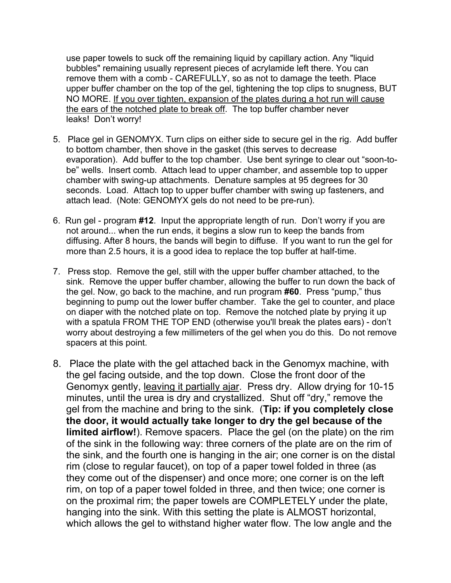use paper towels to suck off the remaining liquid by capillary action. Any "liquid bubbles" remaining usually represent pieces of acrylamide left there. You can remove them with a comb - CAREFULLY, so as not to damage the teeth. Place upper buffer chamber on the top of the gel, tightening the top clips to snugness, BUT NO MORE. If you over tighten, expansion of the plates during a hot run will cause the ears of the notched plate to break off. The top buffer chamber never leaks! Don't worry!

- 5. Place gel in GENOMYX. Turn clips on either side to secure gel in the rig. Add buffer to bottom chamber, then shove in the gasket (this serves to decrease evaporation). Add buffer to the top chamber. Use bent syringe to clear out "soon-tobe" wells. Insert comb. Attach lead to upper chamber, and assemble top to upper chamber with swing-up attachments. Denature samples at 95 degrees for 30 seconds. Load. Attach top to upper buffer chamber with swing up fasteners, and attach lead. (Note: GENOMYX gels do not need to be pre-run).
- 6. Run gel program **#12**. Input the appropriate length of run. Don't worry if you are not around... when the run ends, it begins a slow run to keep the bands from diffusing. After 8 hours, the bands will begin to diffuse. If you want to run the gel for more than 2.5 hours, it is a good idea to replace the top buffer at half-time.
- 7. Press stop. Remove the gel, still with the upper buffer chamber attached, to the sink. Remove the upper buffer chamber, allowing the buffer to run down the back of the gel. Now, go back to the machine, and run program **#60**. Press "pump," thus beginning to pump out the lower buffer chamber. Take the gel to counter, and place on diaper with the notched plate on top. Remove the notched plate by prying it up with a spatula FROM THE TOP END (otherwise you'll break the plates ears) - don't worry about destroying a few millimeters of the gel when you do this. Do not remove spacers at this point.
- 8. Place the plate with the gel attached back in the Genomyx machine, with the gel facing outside, and the top down. Close the front door of the Genomyx gently, leaving it partially ajar. Press dry. Allow drying for 10-15 minutes, until the urea is dry and crystallized. Shut off "dry," remove the gel from the machine and bring to the sink. (**Tip: if you completely close the door, it would actually take longer to dry the gel because of the limited airflow!**). Remove spacers. Place the gel (on the plate) on the rim of the sink in the following way: three corners of the plate are on the rim of the sink, and the fourth one is hanging in the air; one corner is on the distal rim (close to regular faucet), on top of a paper towel folded in three (as they come out of the dispenser) and once more; one corner is on the left rim, on top of a paper towel folded in three, and then twice; one corner is on the proximal rim; the paper towels are COMPLETELY under the plate, hanging into the sink. With this setting the plate is ALMOST horizontal, which allows the gel to withstand higher water flow. The low angle and the